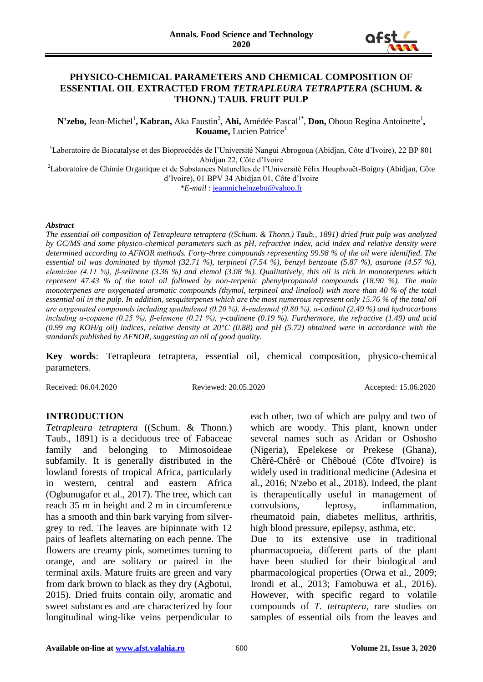

## **PHYSICO-CHEMICAL PARAMETERS AND CHEMICAL COMPOSITION OF ESSENTIAL OIL EXTRACTED FROM** *TETRAPLEURA TETRAPTERA* **(SCHUM. & THONN.) TAUB. FRUIT PULP**

N'zebo, Jean-Michel<sup>1</sup>, Kabran, Aka Faustin<sup>2</sup>, **Ahi,** Amédée Pascal<sup>1\*</sup>, **Don,** Ohouo Regina Antoinette<sup>1</sup>, **Kouame, Lucien Patrice**<sup>1</sup>

<sup>1</sup>Laboratoire de Biocatalyse et des Bioprocédés de l'Université Nangui Abrogoua (Abidjan, Côte d'Ivoire), 22 BP 801 Abidjan 22, Côte d'Ivoire

<sup>2</sup>Laboratoire de Chimie Organique et de Substances Naturelles de l'Université Félix Houphouët-Boigny (Abidjan, Côte d'Ivoire), 01 BPV 34 Abidjan 01, Côte d'Ivoire

\**E-mail* : [jeanmichelnzebo@yahoo.fr](mailto:jeanmichelnzebo@yahoo.fr)

#### *Abstract*

*The essential oil composition of Tetrapleura tetraptera ((Schum. & Thonn.) Taub., 1891) dried fruit pulp was analyzed by GC/MS and some physico-chemical parameters such as pH, refractive index, acid index and relative density were determined according to AFNOR methods. Forty-three compounds representing 99.98 % of the oil were identified. The essential oil was dominated by thymol (32.71 %), terpineol (7.54 %), benzyl benzoate (5.87 %), asarone (4.57 %), elemicine (4.11 %), β-selinene (3.36 %) and elemol (3.08 %). Qualitatively, this oil is rich in monoterpenes which represent 47.43 % of the total oil followed by non-terpenic phenylpropanoid compounds (18.90 %). The main monoterpenes are oxygenated aromatic compounds (thymol, terpineol and linalool) with more than 40 % of the total essential oil in the pulp. In addition, sesquiterpenes which are the most numerous represent only 15.76 % of the total oil are oxygenated compounds including spathulenol (0.20 %), δ-eudesmol (0.80 %), α-cadinol (2.49 %) and hydrocarbons including α-copaene (0.25 %), β-elemene (0.21 %), γ-cadinene (0.19 %). Furthermore, the refractive (1.49) and acid (0.99 mg KOH/g oil) indices, relative density at 20°C (0.88) and pH (5.72) obtained were in accordance with the standards published by AFNOR, suggesting an oil of good quality.*

**Key words**: Tetrapleura tetraptera, essential oil, chemical composition, physico-chemical parameters*.*

Received: 06.04.2020 Reviewed: 20.05.2020 Accepted: 15.06.2020

### **INTRODUCTION**

*Tetrapleura tetraptera* ((Schum. & Thonn.) Taub., 1891) is a deciduous tree of Fabaceae family and belonging to Mimosoideae subfamily. It is generally distributed in the lowland forests of tropical Africa, particularly in western, central and eastern Africa (Ogbunugafor et al., 2017). The tree, which can reach 35 m in height and 2 m in circumference has a smooth and thin bark varying from silvergrey to red. The leaves are bipinnate with 12 pairs of leaflets alternating on each penne. The flowers are creamy pink, sometimes turning to orange, and are solitary or paired in the terminal axils. Mature fruits are green and vary from dark brown to black as they dry (Agbotui, 2015). Dried fruits contain oily, aromatic and sweet substances and are characterized by four longitudinal wing-like veins perpendicular to

each other, two of which are pulpy and two of which are woody. This plant, known under several names such as Aridan or Oshosho (Nigeria), Epelekese or Prekese (Ghana), Chêrê-Chêrê or Chêboué (Côte d'Ivoire) is widely used in traditional medicine (Adesina et al., 2016; N'zebo et al., 2018). Indeed, the plant is therapeutically useful in management of convulsions, leprosy, inflammation, rheumatoid pain, diabetes mellitus, arthritis, high blood pressure, epilepsy, asthma, etc. Due to its extensive use in traditional pharmacopoeia, different parts of the plant

have been studied for their biological and pharmacological properties (Orwa et al., 2009; Irondi et al., 2013; Famobuwa et al., 2016). However, with specific regard to volatile compounds of *T. tetraptera*, rare studies on samples of essential oils from the leaves and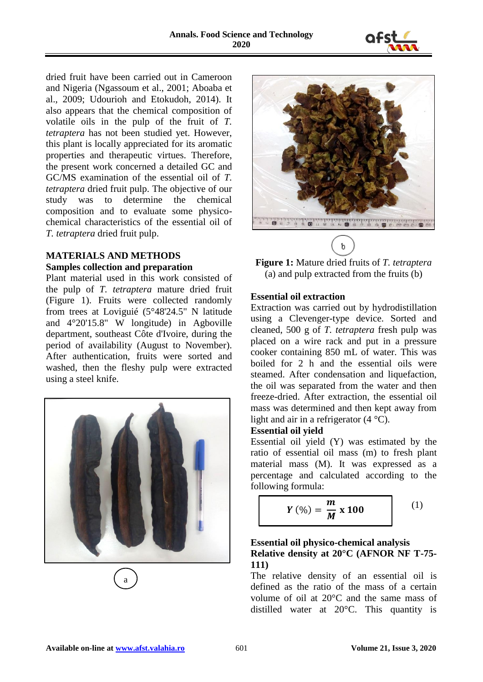

dried fruit have been carried out in Cameroon and Nigeria (Ngassoum et al., 2001; Aboaba et al., 2009; Udourioh and Etokudoh, 2014). It also appears that the chemical composition of volatile oils in the pulp of the fruit of *T. tetraptera* has not been studied yet. However, this plant is locally appreciated for its aromatic properties and therapeutic virtues. Therefore, the present work concerned a detailed GC and GC/MS examination of the essential oil of *T. tetraptera* dried fruit pulp. The objective of our study was to determine the chemical composition and to evaluate some physicochemical characteristics of the essential oil of *T. tetraptera* dried fruit pulp.

### **MATERIALS AND METHODS Samples collection and preparation**

Plant material used in this work consisted of the pulp of *T. tetraptera* mature dried fruit (Figure 1). Fruits were collected randomly from trees at Loviguié (5°48'24.5" N latitude and 4°20'15.8" W longitude) in Agboville department, southeast Côte d'Ivoire, during the period of availability (August to November). After authentication, fruits were sorted and washed, then the fleshy pulp were extracted using a steel knife.



a



**Figure 1:** Mature dried fruits of *T. tetraptera* (a) and pulp extracted from the fruits (b)

### **Essential oil extraction**

Extraction was carried out by hydrodistillation using a Clevenger-type device. Sorted and cleaned, 500 g of *T. tetraptera* fresh pulp was placed on a wire rack and put in a pressure cooker containing 850 mL of water. This was boiled for 2 h and the essential oils were steamed. After condensation and liquefaction, the oil was separated from the water and then freeze-dried. After extraction, the essential oil mass was determined and then kept away from light and air in a refrigerator  $(4 \degree C)$ .

### **Essential oil yield**

Essential oil yield (Y) was estimated by the ratio of essential oil mass (m) to fresh plant material mass (M). It was expressed as a percentage and calculated according to the following formula:

$$
Y\left(\%\right) = \frac{m}{M} \times 100\tag{1}
$$

# **Essential oil physico-chemical analysis Relative density at 20°C (AFNOR NF T-75- 111)**

The relative density of an essential oil is defined as the ratio of the mass of a certain volume of oil at 20°C and the same mass of distilled water at 20°C. This quantity is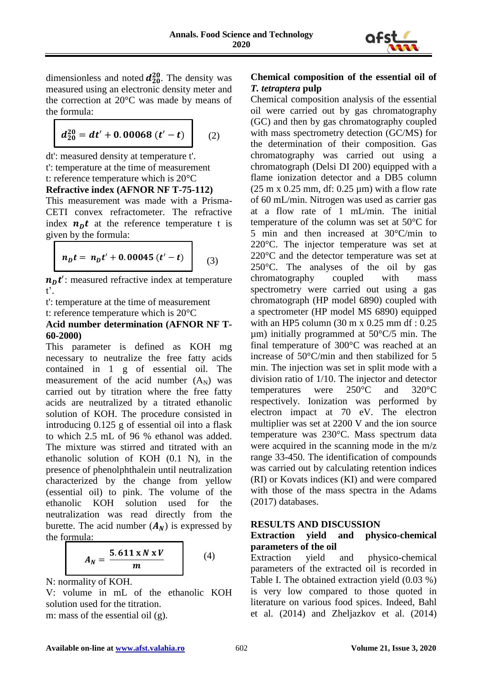

dimensionless and noted  $d_{20}^{20}$ . The density was measured using an electronic density meter and the correction at 20°C was made by means of the formula:

$$
d_{20}^{20} = dt' + 0.00068 \ (t'-t)
$$
 (2)

dt': measured density at temperature t'. t': temperature at the time of measurement t: reference temperature which is 20°C

#### **Refractive index (AFNOR NF T-75-112)**

This measurement was made with a Prisma-CETI convex refractometer. The refractive index  $n_D t$  at the reference temperature t is given by the formula:

$$
n_D t = n_D t' + 0.00045 (t'-t)
$$
 (3)

 $n_D t'$ : measured refractive index at temperature t'.

t': temperature at the time of measurement t: reference temperature which is 20°C

#### **Acid number determination (AFNOR NF T-60-2000)**

This parameter is defined as KOH mg necessary to neutralize the free fatty acids contained in 1 g of essential oil. The measurement of the acid number  $(A_N)$  was carried out by titration where the free fatty acids are neutralized by a titrated ethanolic solution of KOH. The procedure consisted in introducing 0.125 g of essential oil into a flask to which 2.5 mL of 96 % ethanol was added. The mixture was stirred and titrated with an ethanolic solution of KOH (0.1 N), in the presence of phenolphthalein until neutralization characterized by the change from yellow (essential oil) to pink. The volume of the ethanolic KOH solution used for the neutralization was read directly from the burette. The acid number  $(A_N)$  is expressed by the formula:

$$
A_N = \frac{5.611 \times N \times V}{m} \tag{4}
$$

N: normality of KOH.

V: volume in mL of the ethanolic KOH solution used for the titration.

m: mass of the essential oil (g).

## **Chemical composition of the essential oil of**  *T. tetraptera* **pulp**

Chemical composition analysis of the essential oil were carried out by gas chromatography (GC) and then by gas chromatography coupled with mass spectrometry detection (GC/MS) for the determination of their composition. Gas chromatography was carried out using a chromatograph (Delsi DI 200) equipped with a flame ionization detector and a DB5 column  $(25 \text{ m x } 0.25 \text{ mm}, df: 0.25 \text{ \mu m})$  with a flow rate of 60 mL/min. Nitrogen was used as carrier gas at a flow rate of 1 mL/min. The initial temperature of the column was set at 50°C for 5 min and then increased at 30°C/min to 220°C. The injector temperature was set at 220°C and the detector temperature was set at 250°C. The analyses of the oil by gas chromatography coupled with mass spectrometry were carried out using a gas chromatograph (HP model 6890) coupled with a spectrometer (HP model MS 6890) equipped with an HP5 column (30 m x 0.25 mm df : 0.25  $\mu$ m) initially programmed at 50 $\degree$ C/5 min. The final temperature of 300°C was reached at an increase of 50°C/min and then stabilized for 5 min. The injection was set in split mode with a division ratio of 1/10. The injector and detector temperatures were 250°C and 320°C respectively. Ionization was performed by electron impact at 70 eV. The electron multiplier was set at 2200 V and the ion source temperature was 230°C. Mass spectrum data were acquired in the scanning mode in the m/z range 33-450. The identification of compounds was carried out by calculating retention indices (RI) or Kovats indices (KI) and were compared with those of the mass spectra in the Adams (2017) databases.

### **RESULTS AND DISCUSSION**

# **Extraction yield and physico-chemical parameters of the oil**

Extraction yield and physico-chemical parameters of the extracted oil is recorded in Table I. The obtained extraction yield (0.03 %) is very low compared to those quoted in literature on various food spices. Indeed, Bahl et al. (2014) and Zheljazkov et al. (2014)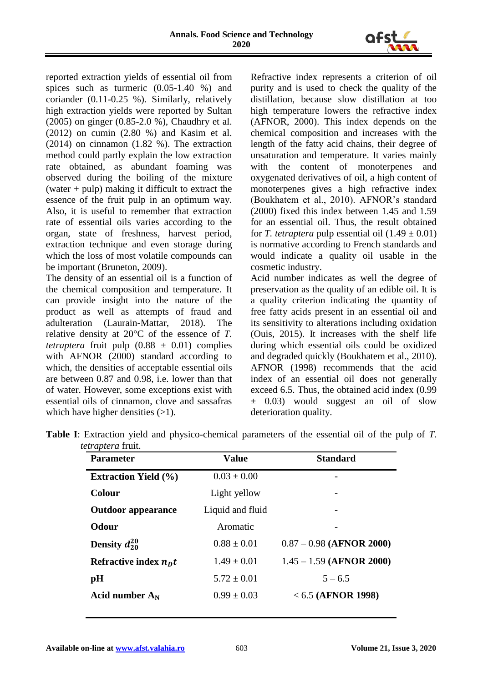

reported extraction yields of essential oil from spices such as turmeric (0.05-1.40 %) and coriander (0.11-0.25 %). Similarly, relatively high extraction yields were reported by Sultan (2005) on ginger (0.85-2.0 %), Chaudhry et al. (2012) on cumin (2.80 %) and Kasim et al. (2014) on cinnamon (1.82 %). The extraction method could partly explain the low extraction rate obtained, as abundant foaming was observed during the boiling of the mixture (water  $+$  pulp) making it difficult to extract the essence of the fruit pulp in an optimum way. Also, it is useful to remember that extraction rate of essential oils varies according to the organ, state of freshness, harvest period, extraction technique and even storage during which the loss of most volatile compounds can be important (Bruneton, 2009).

The density of an essential oil is a function of the chemical composition and temperature. It can provide insight into the nature of the product as well as attempts of fraud and adulteration (Laurain-Mattar, 2018). The relative density at 20°C of the essence of *T. tetraptera* fruit pulp  $(0.88 \pm 0.01)$  complies with AFNOR (2000) standard according to which, the densities of acceptable essential oils are between 0.87 and 0.98, i.e. lower than that of water. However, some exceptions exist with essential oils of cinnamon, clove and sassafras which have higher densities  $(>1)$ .

Refractive index represents a criterion of oil purity and is used to check the quality of the distillation, because slow distillation at too high temperature lowers the refractive index (AFNOR, 2000). This index depends on the chemical composition and increases with the length of the fatty acid chains, their degree of unsaturation and temperature. It varies mainly with the content of monoterpenes and oxygenated derivatives of oil, a high content of monoterpenes gives a high refractive index (Boukhatem et al., 2010). AFNOR's standard (2000) fixed this index between 1.45 and 1.59 for an essential oil. Thus, the result obtained for *T. tetraptera* pulp essential oil  $(1.49 \pm 0.01)$ is normative according to French standards and would indicate a quality oil usable in the cosmetic industry.

Acid number indicates as well the degree of preservation as the quality of an edible oil. It is a quality criterion indicating the quantity of free fatty acids present in an essential oil and its sensitivity to alterations including oxidation (Ouis, 2015). It increases with the shelf life during which essential oils could be oxidized and degraded quickly (Boukhatem et al., 2010). AFNOR (1998) recommends that the acid index of an essential oil does not generally exceed 6.5. Thus, the obtained acid index (0.99 ± 0.03) would suggest an oil of slow deterioration quality.

| <b>Value</b>     | <b>Standard</b>            |
|------------------|----------------------------|
| $0.03 \pm 0.00$  |                            |
| Light yellow     |                            |
| Liquid and fluid |                            |
| Aromatic         |                            |
| $0.88 \pm 0.01$  | $0.87 - 0.98$ (AFNOR 2000) |
| $1.49 \pm 0.01$  | $1.45 - 1.59$ (AFNOR 2000) |
| $5.72 \pm 0.01$  | $5 - 6.5$                  |
| $0.99 \pm 0.03$  | $< 6.5$ (AFNOR 1998)       |
|                  |                            |

| <b>Table I:</b> Extraction yield and physico-chemical parameters of the essential oil of the pulp of T. |  |  |  |
|---------------------------------------------------------------------------------------------------------|--|--|--|
| <i>tetraptera</i> fruit.                                                                                |  |  |  |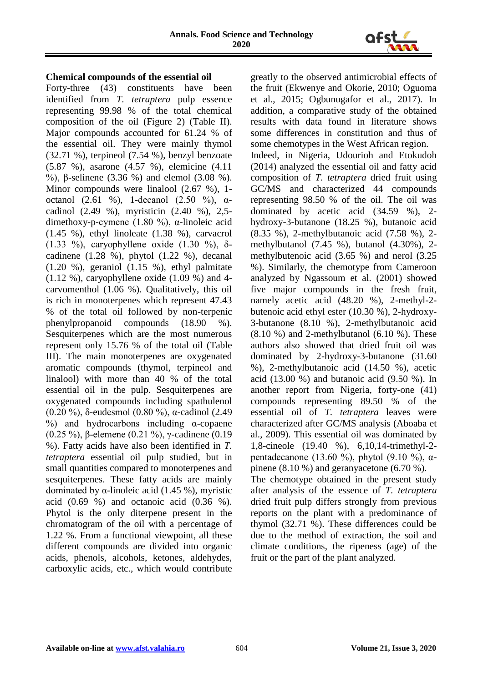

### **Chemical compounds of the essential oil**

Forty-three (43) constituents have been identified from *T. tetraptera* pulp essence representing 99.98 % of the total chemical composition of the oil (Figure 2) (Table II). Major compounds accounted for 61.24 % of the essential oil. They were mainly thymol (32.71 %), terpineol (7.54 %), benzyl benzoate (5.87 %), asarone (4.57 %), elemicine (4.11 %), β-selinene (3.36 %) and elemol (3.08 %). Minor compounds were linalool (2.67 %), 1 octanol (2.61 %), 1-decanol (2.50 %), αcadinol (2.49 %), myristicin (2.40 %), 2,5 dimethoxy-p-cymene (1.80 %), α-linoleic acid (1.45 %), ethyl linoleate (1.38 %), carvacrol (1.33 %), caryophyllene oxide (1.30 %),  $\delta$ cadinene (1.28 %), phytol (1.22 %), decanal (1.20 %), geraniol (1.15 %), ethyl palmitate (1.12 %), caryophyllene oxide (1.09 %) and 4 carvomenthol (1.06 %). Qualitatively, this oil is rich in monoterpenes which represent 47.43 % of the total oil followed by non-terpenic phenylpropanoid compounds (18.90 %). Sesquiterpenes which are the most numerous represent only 15.76 % of the total oil (Table III). The main monoterpenes are oxygenated aromatic compounds (thymol, terpineol and linalool) with more than 40 % of the total essential oil in the pulp. Sesquiterpenes are oxygenated compounds including spathulenol (0.20 %), δ-eudesmol (0.80 %), α-cadinol (2.49  $\%$ ) and hydrocarbons including  $\alpha$ -copaene (0.25 %), β-elemene (0.21 %), γ-cadinene (0.19 %). Fatty acids have also been identified in *T. tetraptera* essential oil pulp studied, but in small quantities compared to monoterpenes and sesquiterpenes. These fatty acids are mainly dominated by α-linoleic acid (1.45 %), myristic acid  $(0.69 \%)$  and octanoic acid  $(0.36 \%)$ . Phytol is the only diterpene present in the chromatogram of the oil with a percentage of 1.22 %. From a functional viewpoint, all these different compounds are divided into organic acids, phenols, alcohols, ketones, aldehydes, carboxylic acids, etc., which would contribute

greatly to the observed antimicrobial effects of the fruit (Ekwenye and Okorie, 2010; Oguoma et al., 2015; Ogbunugafor et al., 2017). In addition, a comparative study of the obtained results with data found in literature shows some differences in constitution and thus of some chemotypes in the West African region. Indeed, in Nigeria, Udourioh and Etokudoh (2014) analyzed the essential oil and fatty acid composition of *T. tetraptera* dried fruit using GC/MS and characterized 44 compounds representing 98.50 % of the oil. The oil was dominated by acetic acid (34.59 %), 2 hydroxy-3-butanone (18.25 %), butanoic acid (8.35 %), 2-methylbutanoic acid (7.58 %), 2 methylbutanol (7.45 %), butanol (4.30%), 2 methylbutenoic acid (3.65 %) and nerol (3.25 %). Similarly, the chemotype from Cameroon analyzed by Ngassoum et al. (2001) showed five major compounds in the fresh fruit, namely acetic acid (48.20 %), 2-methyl-2 butenoic acid ethyl ester (10.30 %), 2-hydroxy-3-butanone (8.10 %), 2-methylbutanoic acid  $(8.10\%)$  and 2-methylbutanol  $(6.10\%)$ . These authors also showed that dried fruit oil was dominated by 2-hydroxy-3-butanone (31.60 %), 2-methylbutanoic acid (14.50 %), acetic acid (13.00 %) and butanoic acid (9.50 %). In another report from Nigeria, forty-one (41) compounds representing 89.50 % of the essential oil of *T. tetraptera* leaves were characterized after GC/MS analysis (Aboaba et al., 2009). This essential oil was dominated by 1,8-cineole (19.40 %), 6,10,14-trimethyl-2 pentadecanone (13.60 %), phytol (9.10 %), αpinene (8.10 %) and geranyacetone (6.70 %).

The chemotype obtained in the present study after analysis of the essence of *T. tetraptera* dried fruit pulp differs strongly from previous reports on the plant with a predominance of thymol (32.71 %). These differences could be due to the method of extraction, the soil and climate conditions, the ripeness (age) of the fruit or the part of the plant analyzed.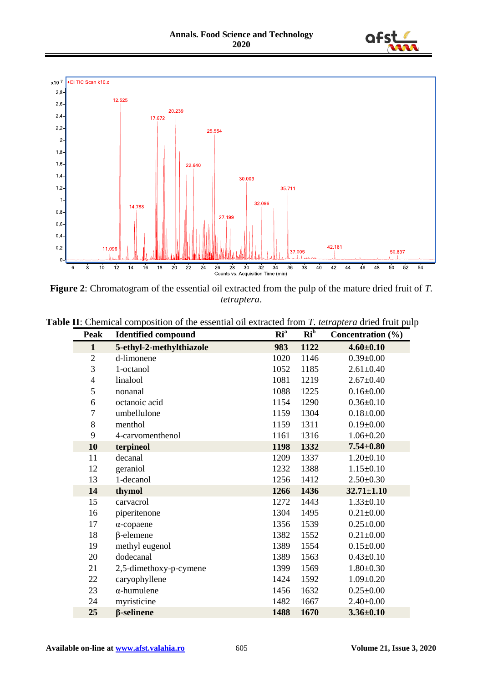



**Figure 2**: Chromatogram of the essential oil extracted from the pulp of the mature dried fruit of *T. tetraptera*.

| Peak             | <b>Identified compound</b> | Ri <sup>a</sup> | $Ri^b$ | Concentration (%) |
|------------------|----------------------------|-----------------|--------|-------------------|
| $\mathbf{1}$     | 5-ethyl-2-methylthiazole   | 983             | 1122   | $4.60 \pm 0.10$   |
| $\overline{2}$   | d-limonene                 | 1020            | 1146   | $0.39 \pm 0.00$   |
| 3                | 1-octanol                  | 1052            | 1185   | $2.61 \pm 0.40$   |
| $\overline{4}$   | linalool                   | 1081            | 1219   | $2.67 \pm 0.40$   |
| 5                | nonanal                    | 1088            | 1225   | $0.16 \pm 0.00$   |
| 6                | octanoic acid              | 1154            | 1290   | $0.36 \pm 0.10$   |
| $\boldsymbol{7}$ | umbellulone                | 1159            | 1304   | $0.18 \pm 0.00$   |
| 8                | menthol                    | 1159            | 1311   | $0.19 \pm 0.00$   |
| 9                | 4-carvomenthenol           | 1161            | 1316   | $1.06 \pm 0.20$   |
| 10               | terpineol                  | 1198            | 1332   | $7.54 + 0.80$     |
| 11               | decanal                    | 1209            | 1337   | $1.20 \pm 0.10$   |
| 12               | geraniol                   | 1232            | 1388   | $1.15 \pm 0.10$   |
| 13               | 1-decanol                  | 1256            | 1412   | $2.50 \pm 0.30$   |
| 14               | thymol                     | 1266            | 1436   | $32.71 \pm 1.10$  |
| 15               | carvacrol                  | 1272            | 1443   | $1.33 \pm 0.10$   |
| 16               | piperitenone               | 1304            | 1495   | $0.21 \pm 0.00$   |
| 17               | $\alpha$ -copaene          | 1356            | 1539   | $0.25 \pm 0.00$   |
| 18               | $\beta$ -elemene           | 1382            | 1552   | $0.21 \pm 0.00$   |
| 19               | methyl eugenol             | 1389            | 1554   | $0.15 \pm 0.00$   |
| 20               | dodecanal                  | 1389            | 1563   | $0.43 \pm 0.10$   |
| 21               | 2,5-dimethoxy-p-cymene     | 1399            | 1569   | $1.80 \pm 0.30$   |
| 22               | caryophyllene              | 1424            | 1592   | $1.09 \pm 0.20$   |
| 23               | $\alpha$ -humulene         | 1456            | 1632   | $0.25 \pm 0.00$   |
| 24               | myristicine                | 1482            | 1667   | $2.40 \pm 0.00$   |
| 25               | <b><i>β</i>-selinene</b>   | 1488            | 1670   | $3.36 \pm 0.10$   |

**Table II**: Chemical composition of the essential oil extracted from *T. tetraptera* dried fruit pulp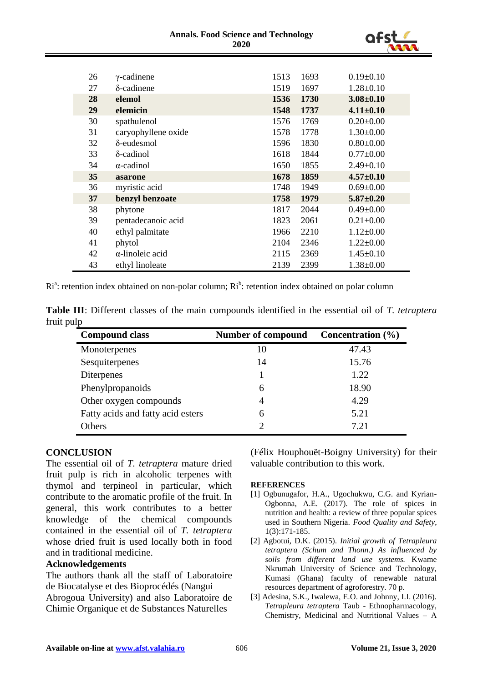#### **Annals. Food Science and Technology 2020**



| 26 | $\gamma$ -cadinene      | 1513 | 1693 | $0.19 \pm 0.10$ |
|----|-------------------------|------|------|-----------------|
| 27 | $\delta$ -cadinene      | 1519 | 1697 | $1.28 \pm 0.10$ |
| 28 | elemol                  | 1536 | 1730 | $3.08 \pm 0.10$ |
| 29 | elemicin                | 1548 | 1737 | $4.11 \pm 0.10$ |
| 30 | spathulenol             | 1576 | 1769 | $0.20 \pm 0.00$ |
| 31 | caryophyllene oxide     | 1578 | 1778 | $1.30 \pm 0.00$ |
| 32 | $\delta$ -eudesmol      | 1596 | 1830 | $0.80 \pm 0.00$ |
| 33 | δ-cadinol               | 1618 | 1844 | $0.77 \pm 0.00$ |
| 34 | $\alpha$ -cadinol       | 1650 | 1855 | $2.49 \pm 0.10$ |
| 35 | asarone                 | 1678 | 1859 | $4.57 \pm 0.10$ |
| 36 | myristic acid           | 1748 | 1949 | $0.69 \pm 0.00$ |
| 37 | benzyl benzoate         | 1758 | 1979 | $5.87 \pm 0.20$ |
| 38 | phytone                 | 1817 | 2044 | $0.49 \pm 0.00$ |
| 39 | pentadecanoic acid      | 1823 | 2061 | $0.21 \pm 0.00$ |
| 40 | ethyl palmitate         | 1966 | 2210 | $1.12 \pm 0.00$ |
| 41 | phytol                  | 2104 | 2346 | $1.22 \pm 0.00$ |
| 42 | $\alpha$ -linoleic acid | 2115 | 2369 | $1.45 \pm 0.10$ |
| 43 | ethyl linoleate         | 2139 | 2399 | $1.38 \pm 0.00$ |

Ri<sup>a</sup>: retention index obtained on non-polar column; Ri<sup>b</sup>: retention index obtained on polar column

| <b>Table III:</b> Different classes of the main compounds identified in the essential oil of T. tetraptera |  |  |  |  |  |
|------------------------------------------------------------------------------------------------------------|--|--|--|--|--|
| fruit pulp                                                                                                 |  |  |  |  |  |

| <b>Compound class</b>             | <b>Number of compound</b> | Concentration $(\% )$ |
|-----------------------------------|---------------------------|-----------------------|
| Monoterpenes                      | 10                        | 47.43                 |
| Sesquiterpenes                    | 14                        | 15.76                 |
| <b>Diterpenes</b>                 |                           | 1.22                  |
| Phenylpropanoids                  | 6                         | 18.90                 |
| Other oxygen compounds            | 4                         | 4.29                  |
| Fatty acids and fatty acid esters | 6                         | 5.21                  |
| Others                            | $\mathcal{D}$             | 7.21                  |

# **CONCLUSION**

The essential oil of *T. tetraptera* mature dried fruit pulp is rich in alcoholic terpenes with thymol and terpineol in particular, which contribute to the aromatic profile of the fruit. In general, this work contributes to a better knowledge of the chemical compounds contained in the essential oil of *T. tetraptera* whose dried fruit is used locally both in food and in traditional medicine.

### **Acknowledgements**

The authors thank all the staff of Laboratoire de Biocatalyse et des Bioprocédés (Nangui Abrogoua University) and also Laboratoire de Chimie Organique et de Substances Naturelles

(Félix Houphouët-Boigny University) for their valuable contribution to this work.

#### **REFERENCES**

- [1] Ogbunugafor, H.A., Ugochukwu, C.G. and Kyrian-Ogbonna, A.E. (2017). The role of spices in nutrition and health: a review of three popular spices used in Southern Nigeria. *Food Quality and Safety*, 1(3):171-185.
- [2] Agbotui, D.K. (2015). *Initial growth of Tetrapleura tetraptera (Schum and Thonn.) As influenced by soils from different land use systems.* Kwame Nkrumah University of Science and Technology, Kumasi (Ghana) faculty of renewable natural resources department of agroforestry. 70 p.
- [3] Adesina, S.K., Iwalewa, E.O. and Johnny, I.I. (2016). *Tetrapleura tetraptera* Taub - Ethnopharmacology, Chemistry, Medicinal and Nutritional Values – A